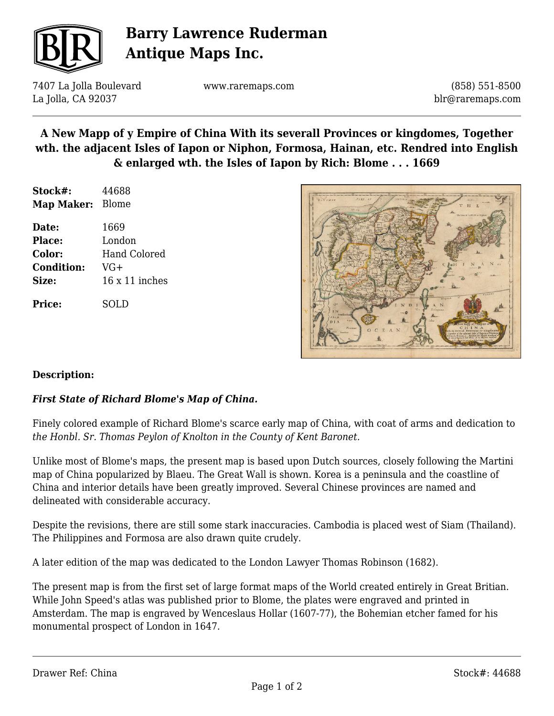

## **Barry Lawrence Ruderman Antique Maps Inc.**

7407 La Jolla Boulevard La Jolla, CA 92037

www.raremaps.com

(858) 551-8500 blr@raremaps.com

## **A New Mapp of y Empire of China With its severall Provinces or kingdomes, Together wth. the adjacent Isles of Iapon or Niphon, Formosa, Hainan, etc. Rendred into English & enlarged wth. the Isles of Iapon by Rich: Blome . . . 1669**

| Stock#:           | 44688                 |
|-------------------|-----------------------|
| Map Maker:        | Blome                 |
| Date:             | 1669                  |
| <b>Place:</b>     | London                |
| Color:            | Hand Colored          |
| <b>Condition:</b> | VG+                   |
| Size:             | $16 \times 11$ inches |
| Price:            | SOLD                  |



#### **Description:**

#### *First State of Richard Blome's Map of China.*

Finely colored example of Richard Blome's scarce early map of China, with coat of arms and dedication to *the Honbl. Sr. Thomas Peylon of Knolton in the County of Kent Baronet.*

Unlike most of Blome's maps, the present map is based upon Dutch sources, closely following the Martini map of China popularized by Blaeu. The Great Wall is shown. Korea is a peninsula and the coastline of China and interior details have been greatly improved. Several Chinese provinces are named and delineated with considerable accuracy.

Despite the revisions, there are still some stark inaccuracies. Cambodia is placed west of Siam (Thailand). The Philippines and Formosa are also drawn quite crudely.

A later edition of the map was dedicated to the London Lawyer Thomas Robinson (1682).

The present map is from the first set of large format maps of the World created entirely in Great Britian. While John Speed's atlas was published prior to Blome, the plates were engraved and printed in Amsterdam. The map is engraved by Wenceslaus Hollar (1607-77), the Bohemian etcher famed for his monumental prospect of London in 1647.